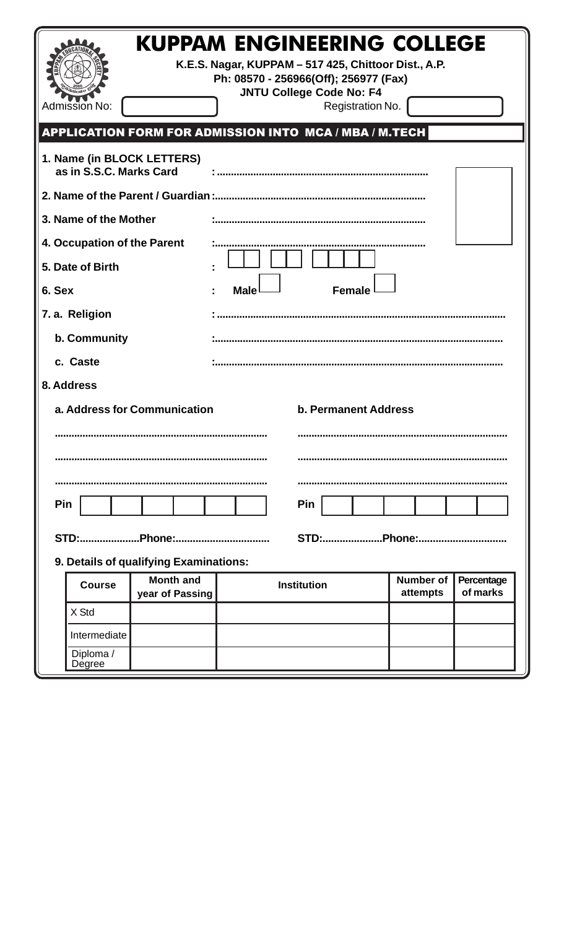|                                                             | <b>Admission No:</b>                                 | <b>KUPPAM ENGINEERING COLLEGE</b><br>K.E.S. Nagar, KUPPAM - 517 425, Chittoor Dist., A.P. | Ph: 08570 - 256966(Off); 256977 (Fax) | <b>JNTU College Code No: F4</b> |  |  |  | Registration No. |                              |  |                        |  |  |
|-------------------------------------------------------------|------------------------------------------------------|-------------------------------------------------------------------------------------------|---------------------------------------|---------------------------------|--|--|--|------------------|------------------------------|--|------------------------|--|--|
| APPLICATION FORM FOR ADMISSION INTO MCA / MBA / M.TECH      |                                                      |                                                                                           |                                       |                                 |  |  |  |                  |                              |  |                        |  |  |
|                                                             | as in S.S.C. Marks Card                              | 1. Name (in BLOCK LETTERS)                                                                |                                       |                                 |  |  |  |                  |                              |  |                        |  |  |
|                                                             |                                                      |                                                                                           |                                       |                                 |  |  |  |                  |                              |  |                        |  |  |
|                                                             | 3. Name of the Mother                                |                                                                                           |                                       |                                 |  |  |  |                  |                              |  |                        |  |  |
| 4. Occupation of the Parent                                 |                                                      |                                                                                           |                                       |                                 |  |  |  |                  |                              |  |                        |  |  |
| 5. Date of Birth                                            |                                                      |                                                                                           |                                       |                                 |  |  |  |                  |                              |  |                        |  |  |
| 6. Sex                                                      |                                                      |                                                                                           | <b>Male</b>                           |                                 |  |  |  | <b>Female</b>    |                              |  |                        |  |  |
|                                                             | 7. a. Religion                                       |                                                                                           |                                       |                                 |  |  |  |                  |                              |  |                        |  |  |
| b. Community                                                |                                                      |                                                                                           |                                       |                                 |  |  |  |                  |                              |  |                        |  |  |
| c. Caste                                                    |                                                      |                                                                                           |                                       |                                 |  |  |  |                  |                              |  |                        |  |  |
| 8. Address                                                  |                                                      |                                                                                           |                                       |                                 |  |  |  |                  |                              |  |                        |  |  |
| a. Address for Communication<br><b>b. Permanent Address</b> |                                                      |                                                                                           |                                       |                                 |  |  |  |                  |                              |  |                        |  |  |
|                                                             |                                                      |                                                                                           |                                       |                                 |  |  |  |                  |                              |  |                        |  |  |
|                                                             |                                                      |                                                                                           |                                       |                                 |  |  |  |                  |                              |  |                        |  |  |
|                                                             |                                                      |                                                                                           |                                       |                                 |  |  |  |                  |                              |  |                        |  |  |
| Pin<br>Pin                                                  |                                                      |                                                                                           |                                       |                                 |  |  |  |                  |                              |  |                        |  |  |
|                                                             |                                                      |                                                                                           |                                       |                                 |  |  |  |                  |                              |  |                        |  |  |
|                                                             |                                                      |                                                                                           |                                       |                                 |  |  |  |                  |                              |  |                        |  |  |
| 9. Details of qualifying Examinations:                      |                                                      |                                                                                           |                                       |                                 |  |  |  |                  |                              |  |                        |  |  |
|                                                             | <b>Month and</b><br><b>Course</b><br>year of Passing |                                                                                           | <b>Institution</b>                    |                                 |  |  |  |                  | <b>Number of</b><br>attempts |  | Percentage<br>of marks |  |  |
|                                                             | X Std                                                |                                                                                           |                                       |                                 |  |  |  |                  |                              |  |                        |  |  |
|                                                             | Intermediate                                         |                                                                                           |                                       |                                 |  |  |  |                  |                              |  |                        |  |  |
|                                                             | Diploma /<br>Degree                                  |                                                                                           |                                       |                                 |  |  |  |                  |                              |  |                        |  |  |